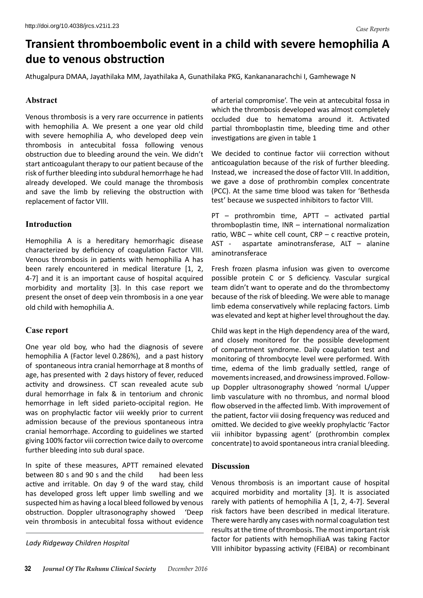# **Transient thromboembolic event in a child with severe hemophilia A due to venous obstruction**

Athugalpura DMAA, Jayathilaka MM, Jayathilaka A, Gunathilaka PKG, Kankananarachchi I, Gamhewage N

#### **Abstract**

Venous thrombosis is a very rare occurrence in patients with hemophilia A. We present a one year old child with severe hemophilia A, who developed deep vein thrombosis in antecubital fossa following venous obstruction due to bleeding around the vein. We didn't start anticoagulant therapy to our patient because of the risk of further bleeding into subdural hemorrhage he had already developed. We could manage the thrombosis and save the limb by relieving the obstruction with replacement of factor VIII.

#### **Introduction**

Hemophilia A is a hereditary hemorrhagic disease characterized by deficiency of coagulation Factor VIII. Venous thrombosis in patients with hemophilia A has been rarely encountered in medical literature [1, 2, 4-7] and it is an important cause of hospital acquired morbidity and mortality [3]. In this case report we present the onset of deep vein thrombosis in a one year old child with hemophilia A.

## **Case report**

One year old boy, who had the diagnosis of severe hemophilia A (Factor level 0.286%), and a past history of spontaneous intra cranial hemorrhage at 8 months of age, has presented with 2 days history of fever, reduced activity and drowsiness. CT scan revealed acute sub dural hemorrhage in falx & in tentorium and chronic hemorrhage in left sided parieto-occipital region. He was on prophylactic factor viii weekly prior to current admission because of the previous spontaneous intra cranial hemorrhage. According to guidelines we started giving 100% factor viii correction twice daily to overcome further bleeding into sub dural space.

In spite of these measures, APTT remained elevated between 80 s and 90 s and the child had been less active and irritable. On day 9 of the ward stay, child has developed gross left upper limb swelling and we suspected him as having a local bleed followed by venous obstruction. Doppler ultrasonography showed 'Deep vein thrombosis in antecubital fossa without evidence

of arterial compromise'. The vein at antecubital fossa in which the thrombosis developed was almost completely occluded due to hematoma around it. Activated partial thromboplastin time, bleeding time and other investigations are given in table 1

We decided to continue factor viii correction without anticoagulation because of the risk of further bleeding. Instead, we increased the dose of factor VIII. In addition, we gave a dose of prothrombin complex concentrate (PCC). At the same time blood was taken for 'Bethesda test' because we suspected inhibitors to factor VIII.

PT – prothrombin time, APTT – activated partial thromboplastin time, INR – international normalization ratio, WBC – white cell count,  $CRP - c$  reactive protein, AST - aspartate aminotransferase, ALT – alanine aminotransferace

Fresh frozen plasma infusion was given to overcome possible protein C or S deficiency. Vascular surgical team didn't want to operate and do the thrombectomy because of the risk of bleeding. We were able to manage limb edema conservatively while replacing factors. Limb was elevated and kept at higher level throughout the day.

Child was kept in the High dependency area of the ward, and closely monitored for the possible development of compartment syndrome. Daily coagulation test and monitoring of thrombocyte level were performed. With time, edema of the limb gradually settled, range of movements increased, and drowsiness improved. Followup Doppler ultrasonography showed 'normal L/upper limb vasculature with no thrombus, and normal blood flow observed in the affected limb. With improvement of the patient, factor viii dosing frequency was reduced and omitted. We decided to give weekly prophylactic 'Factor viii inhibitor bypassing agent' (prothrombin complex concentrate) to avoid spontaneous intra cranial bleeding.

## **Discussion**

Venous thrombosis is an important cause of hospital acquired morbidity and mortality [3]. It is associated rarely with patients of hemophilia A [1, 2, 4-7]. Several risk factors have been described in medical literature. There were hardly any cases with normal coagulation test results at the time of thrombosis. The most important risk factor for patients with hemophiliaA was taking Factor VIII inhibitor bypassing activity (FEIBA) or recombinant *Lady Ridgeway Children Hospital*